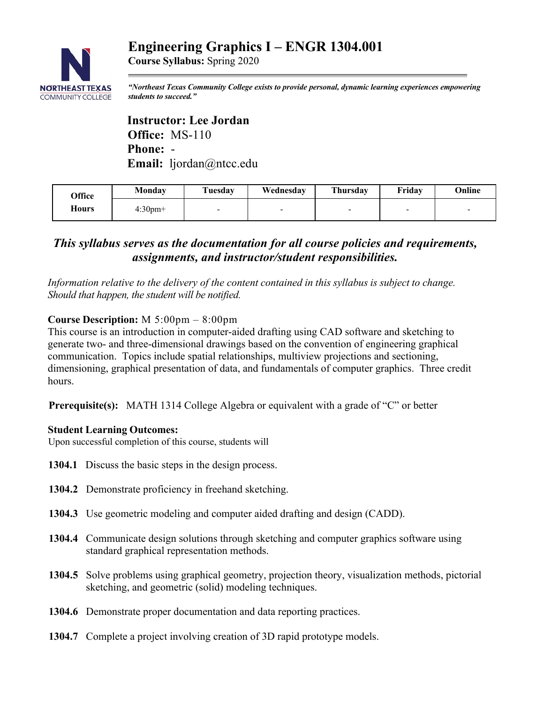# **Engineering Graphics I – ENGR 1304.001**



**Course Syllabus:** Spring 2020

*"Northeast Texas Community College exists to provide personal, dynamic learning experiences empowering students to succeed."*

 **Instructor: Lee Jordan Office:** MS-110  **Phone:** -  **Email:** ljordan@ntcc.edu

| <b>Office</b> | Monday     | Tuesday | Wednesday | <b>Thursday</b> | Fridav | Online |
|---------------|------------|---------|-----------|-----------------|--------|--------|
| <b>Hours</b>  | $4:30$ pm+ |         | $\sim$    |                 | -      |        |

# *This syllabus serves as the documentation for all course policies and requirements, assignments, and instructor/student responsibilities.*

*Information relative to the delivery of the content contained in this syllabus is subject to change. Should that happen, the student will be notified.*

## **Course Description:** M 5:00pm – 8:00pm

This course is an introduction in computer-aided drafting using CAD software and sketching to generate two- and three-dimensional drawings based on the convention of engineering graphical communication. Topics include spatial relationships, multiview projections and sectioning, dimensioning, graphical presentation of data, and fundamentals of computer graphics. Three credit hours.

**Prerequisite(s):** MATH 1314 College Algebra or equivalent with a grade of "C" or better

#### **Student Learning Outcomes:**

Upon successful completion of this course, students will

- **1304.1** Discuss the basic steps in the design process.
- **1304.2** Demonstrate proficiency in freehand sketching.
- **1304.3** Use geometric modeling and computer aided drafting and design (CADD).
- **1304.4** Communicate design solutions through sketching and computer graphics software using standard graphical representation methods.
- **1304.5** Solve problems using graphical geometry, projection theory, visualization methods, pictorial sketching, and geometric (solid) modeling techniques.
- **1304.6** Demonstrate proper documentation and data reporting practices.
- **1304.7** Complete a project involving creation of 3D rapid prototype models.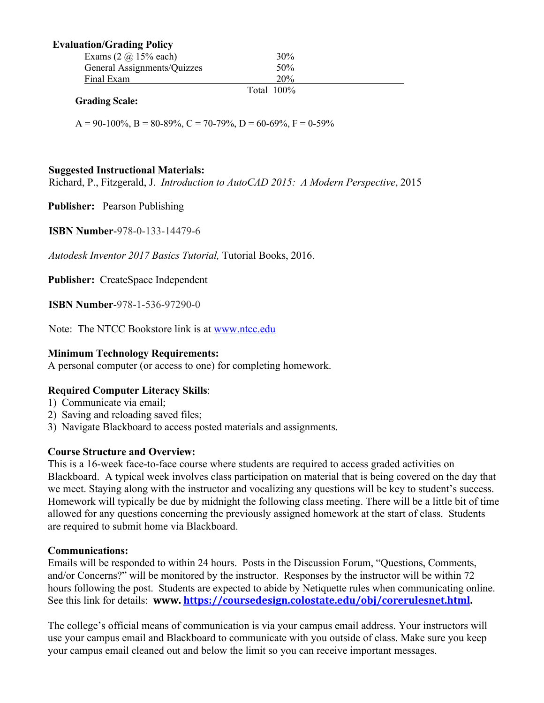#### **Evaluation/Grading Policy**

| Exams $(2 \omega 15\% \text{ each})$ | 30%           |  |
|--------------------------------------|---------------|--|
| General Assignments/Quizzes          | 50%           |  |
| Final Exam                           | 20%           |  |
|                                      | Total $100\%$ |  |

#### **Grading Scale:**

 $A = 90-100\%$ ,  $B = 80-89\%$ ,  $C = 70-79\%$ ,  $D = 60-69\%$ ,  $F = 0-59\%$ 

#### **Suggested Instructional Materials:**

Richard, P., Fitzgerald, J. *Introduction to AutoCAD 2015: A Modern Perspective*, 2015

**Publisher:** Pearson Publishing

 **ISBN Number**-978-0-133-14479-6

*Autodesk Inventor 2017 Basics Tutorial,* Tutorial Books, 2016.

**Publisher:** CreateSpace Independent

**ISBN Number**-978-1-536-97290-0

Note: The NTCC Bookstore link is at www.ntcc.edu

#### **Minimum Technology Requirements:**

A personal computer (or access to one) for completing homework.

#### **Required Computer Literacy Skills**:

- 1) Communicate via email;
- 2) Saving and reloading saved files;
- 3) Navigate Blackboard to access posted materials and assignments.

#### **Course Structure and Overview:**

This is a 16-week face-to-face course where students are required to access graded activities on Blackboard. A typical week involves class participation on material that is being covered on the day that we meet. Staying along with the instructor and vocalizing any questions will be key to student's success. Homework will typically be due by midnight the following class meeting. There will be a little bit of time allowed for any questions concerning the previously assigned homework at the start of class. Students are required to submit home via Blackboard.

#### **Communications:**

Emails will be responded to within 24 hours. Posts in the Discussion Forum, "Questions, Comments, and/or Concerns?" will be monitored by the instructor. Responses by the instructor will be within 72 hours following the post. Students are expected to abide by Netiquette rules when communicating online. See this link for details: **www. https://coursedesign.colostate.edu/obj/corerulesnet.html.**

The college's official means of communication is via your campus email address. Your instructors will use your campus email and Blackboard to communicate with you outside of class. Make sure you keep your campus email cleaned out and below the limit so you can receive important messages.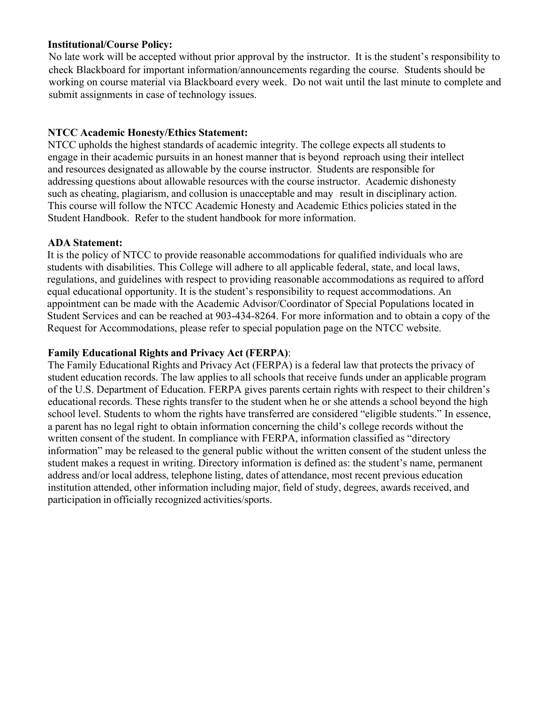#### **Institutional/Course Policy:**

 No late work will be accepted without prior approval by the instructor. It is the student's responsibility to check Blackboard for important information/announcements regarding the course. Students should be working on course material via Blackboard every week. Do not wait until the last minute to complete and submit assignments in case of technology issues.

## **NTCC Academic Honesty/Ethics Statement:**

NTCC upholds the highest standards of academic integrity. The college expects all students to engage in their academic pursuits in an honest manner that is beyond reproach using their intellect and resources designated as allowable by the course instructor. Students are responsible for addressing questions about allowable resources with the course instructor. Academic dishonesty such as cheating, plagiarism, and collusion is unacceptable and may result in disciplinary action. This course will follow the NTCC Academic Honesty and Academic Ethics policies stated in the Student Handbook. Refer to the student handbook for more information.

#### **ADA Statement:**

It is the policy of NTCC to provide reasonable accommodations for qualified individuals who are students with disabilities. This College will adhere to all applicable federal, state, and local laws, regulations, and guidelines with respect to providing reasonable accommodations as required to afford equal educational opportunity. It is the student's responsibility to request accommodations. An appointment can be made with the Academic Advisor/Coordinator of Special Populations located in Student Services and can be reached at 903-434-8264. For more information and to obtain a copy of the Request for Accommodations, please refer to special population page on the NTCC website.

#### **Family Educational Rights and Privacy Act (FERPA)**:

The Family Educational Rights and Privacy Act (FERPA) is a federal law that protects the privacy of student education records. The law applies to all schools that receive funds under an applicable program of the U.S. Department of Education. FERPA gives parents certain rights with respect to their children's educational records. These rights transfer to the student when he or she attends a school beyond the high school level. Students to whom the rights have transferred are considered "eligible students." In essence, a parent has no legal right to obtain information concerning the child's college records without the written consent of the student. In compliance with FERPA, information classified as "directory information" may be released to the general public without the written consent of the student unless the student makes a request in writing. Directory information is defined as: the student's name, permanent address and/or local address, telephone listing, dates of attendance, most recent previous education institution attended, other information including major, field of study, degrees, awards received, and participation in officially recognized activities/sports.